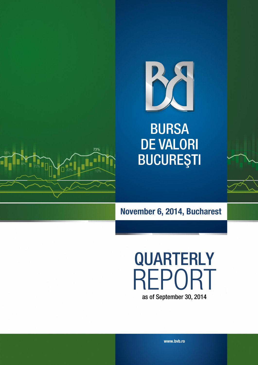

**BURSA DE VALORI BUCUREȘTI** 



# **November 6, 2014, Bucharest**

**QUARTERLY** REPORT as of September 30, 2014

**www.bvb.ro**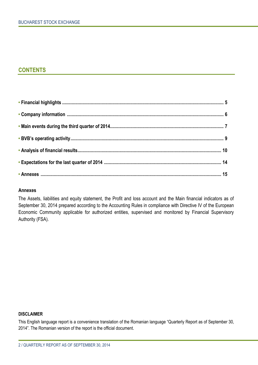### **CONTENTS**

#### **Annexes**

The Assets, liabilities and equity statement, the Profit and loss account and the Main financial indicators as of September 30, 2014 prepared according to the Accounting Rules in compliance with Directive IV of the European Economic Community applicable for authorized entities, supervised and monitored by Financial Supervisory Authority (FSA).

#### **DISCLAIMER**

This English language report is a convenience translation of the Romanian language "Quarterly Report as of September 30, 2014". The Romanian version of the report is the official document.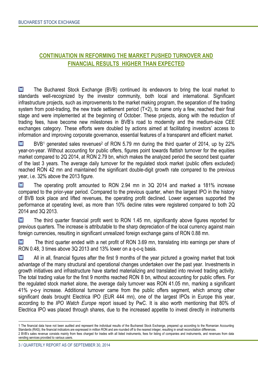### **CONTINUATION IN REFORMING THE MARKET PUSHED TURNOVER AND FINANCIAL RESULTS HIGHER THAN EXPECTED**

**M** The Bucharest Stock Exchange (BVB) continued its endeavors to bring the local market to standards well-recognized by the investor community, both local and international. Significant infrastructure projects, such as improvements to the market making program, the separation of the trading system from post-trading, the new trade settlement period (T+2), to name only a few, reached their final stage and were implemented at the beginning of October. These projects, along with the reduction of trading fees, have become new milestones in BVB's road to modernity and the medium-size CEE exchanges category. These efforts were doubled by actions aimed at facilitating investors' access to information and improving corporate governance, essential features of a transparent and efficient market.

M  $BVB<sup>1</sup>$  generated sales revenues<sup>2</sup> of RON 5.79 mn during the third quarter of 2014, up by 22% year-on-year. Without accounting for public offers, figures point towards flattish turnover for the equities market compared to 2Q 2014, at RON 2.79 bn, which makes the analyzed period the second best quarter of the last 3 years. The average daily turnover for the regulated stock market (public offers excluded) reached RON 42 mn and maintained the significant double-digit growth rate compared to the previous year, i.e. 32% above the 2013 figure.

M The operating profit amounted to RON 2.94 mn in 3Q 2014 and marked a 181% increase compared to the prior-year period. Compared to the previous quarter, when the largest IPO in the history of BVB took place and lifted revenues, the operating profit declined. Lower expenses supported the performance at operating level, as more than 10% decline rates were registered compared to both 2Q 2014 and 3Q 2013.

M The third quarter financial profit went to RON 1.45 mn, significantly above figures reported for previous quarters. The increase is attributable to the sharp depreciation of the local currency against main foreign currencies, resulting in significant unrealized foreign exchange gains of RON 0.88 mn.

M The third quarter ended with a net profit of RON 3.69 mn, translating into earnings per share of RON 0.48, 3 times above 3Q 2013 and 13% lower on a q-o-q basis.

**M** All in all, financial figures after the first 9 months of the year pictured a growing market that took advantage of the many structural and operational changes undertaken over the past year. Investments in growth initiatives and infrastructure have started materializing and translated into revived trading activity. The total trading value for the first 9 months reached RON 8 bn, without accounting for public offers. For the regulated stock market alone, the average daily turnover was RON 41.05 mn, marking a significant 41% y-o-y increase. Additional turnover came from the public offers segment, which among other significant deals brought Electrica IPO (EUR 444 mn), one of the largest IPOs in Europe this year, according to the *IPO Watch Europe* report issued by PwC. It is also worth mentioning that 80% of Electrica IPO was placed through shares, due to the increased appetite to invest directly in instruments

 $\ddot{\phantom{a}}$ 

<sup>1</sup> The financial data have not been audited and represent the individual results of the Bucharest Stock Exchange, prepared up according to the Romanian Accounting Standards (RAS); the financial indicators are expressed in million RON and are rounded off to the nearest integer, resulting in small reconciliation differences. 2 BVB's sales revenue consists mainly from fees charged for trades with all listed instruments, fees for listing of companies and instruments, and revenues from data vending services provided to various users.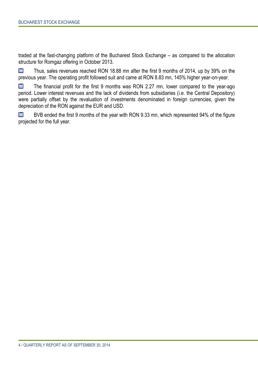traded at the fast-changing platform of the Bucharest Stock Exchange – as compared to the allocation structure for Romgaz offering in October 2013.

M Thus, sales revenues reached RON 18.88 mn after the first 9 months of 2014, up by 39% on the previous year. The operating profit followed suit and came at RON 8.83 mn, 145% higher year-on-year.

M The financial profit for the first 9 months was RON 2.27 mn, lower compared to the year-ago period. Lower interest revenues and the lack of dividends from subsidiaries (i.e. the Central Depository) were partially offset by the revaluation of investments denominated in foreign currencies, given the depreciation of the RON against the EUR and USD.

M BVB ended the first 9 months of the year with RON 9.33 mn, which represented 94% of the figure projected for the full year.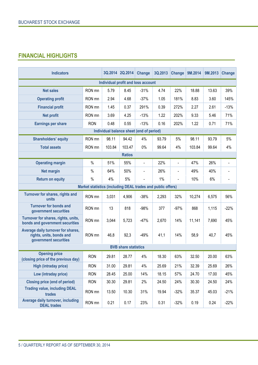## **FINANCIAL HIGHLIGHTS**

| <b>Indicators</b>                                                                       |                                                             | 3Q.2014 2Q.2014                          |                             | <b>Change</b>  | 3Q.2013 | <b>Change</b>  | 9M.2014 | 9M.2013 | Change |
|-----------------------------------------------------------------------------------------|-------------------------------------------------------------|------------------------------------------|-----------------------------|----------------|---------|----------------|---------|---------|--------|
|                                                                                         |                                                             | Individual profit and loss account       |                             |                |         |                |         |         |        |
| <b>Net sales</b>                                                                        | RON mn                                                      | 5.79                                     | 8.45                        | $-31%$         | 4.74    | 22%            | 18.88   | 13.63   | 39%    |
| <b>Operating profit</b>                                                                 | RON mn                                                      | 2.94                                     | 4.68                        | $-37%$         | 1.05    | 181%           | 8.83    | 3.60    | 145%   |
| <b>Financial profit</b>                                                                 | RON mn                                                      | 1.45                                     | 0.37                        | 291%           | 0.39    | 272%           | 2.27    | 2.61    | $-13%$ |
| <b>Net profit</b>                                                                       | RON mn                                                      | 3.69                                     | 4.25                        | $-13%$         | 1.22    | 202%           | 9.33    | 5.46    | 71%    |
| <b>Earnings per share</b>                                                               | <b>RON</b>                                                  | 0.48                                     | 0.55                        | $-13%$         | 0.16    | 202%           | 1.22    | 0.71    | 71%    |
|                                                                                         |                                                             | Individual balance sheet (end of period) |                             |                |         |                |         |         |        |
| <b>Shareholders' equity</b>                                                             | RON mn                                                      | 98.11                                    | 94.42                       | 4%             | 93.79   | 5%             | 98.11   | 93.79   | 5%     |
| <b>Total assets</b>                                                                     | RON mn                                                      | 103.84                                   | 103.47                      | $0\%$          | 99.64   | 4%             | 103.84  | 99.64   | 4%     |
|                                                                                         |                                                             |                                          | <b>Ratios</b>               |                |         |                |         |         |        |
| <b>Operating margin</b>                                                                 | $\frac{0}{0}$                                               | 51%                                      | 55%                         | $\blacksquare$ | 22%     | $\blacksquare$ | 47%     | 26%     |        |
| <b>Net margin</b>                                                                       | $\%$                                                        | 64%                                      | 50%                         |                | 26%     | $\overline{a}$ | 49%     | 40%     |        |
| <b>Return on equity</b>                                                                 | $\%$                                                        | 4%                                       | 5%                          |                | $1\%$   |                | 10%     | 6%      |        |
|                                                                                         | Market statistics (including DEAL trades and public offers) |                                          |                             |                |         |                |         |         |        |
| Turnover for shares, rights and<br>units                                                | RON mn                                                      | 3,031                                    | 4,906                       | $-38%$         | 2,293   | 32%            | 10,274  | 6,575   | 56%    |
| <b>Turnover for bonds and</b><br>government securities                                  | RON mn                                                      | 13                                       | 818                         | $-98%$         | 377     | $-97%$         | 868     | 1,115   | $-22%$ |
| Turnover for shares, rights, units,<br>bonds and government securities                  | RON mn                                                      | 3,044                                    | 5,723                       | $-47%$         | 2,670   | 14%            | 11,141  | 7,690   | 45%    |
| Average daily turnover for shares,<br>rights, units, bonds and<br>government securities | RON mn                                                      | 46,8                                     | 92,3                        | $-49%$         | 41,1    | 14%            | 58,9    | 40,7    | 45%    |
|                                                                                         |                                                             |                                          | <b>BVB share statistics</b> |                |         |                |         |         |        |
| <b>Opening price</b><br>(closing price of the previous day)                             | <b>RON</b>                                                  | 29.81                                    | 28.77                       | 4%             | 18.30   | 63%            | 32.50   | 20.00   | 63%    |
| High (intraday price)                                                                   | <b>RON</b>                                                  | 31.00                                    | 29.81                       | 4%             | 25.69   | 21%            | 32.39   | 25.69   | 26%    |
| Low (intraday price)                                                                    | <b>RON</b>                                                  | 28.45                                    | 25.00                       | 14%            | 18.15   | 57%            | 24.70   | 17.00   | 45%    |
| <b>Closing price (end of period)</b>                                                    | <b>RON</b>                                                  | 30.30                                    | 29.81                       | 2%             | 24.50   | 24%            | 30.30   | 24.50   | 24%    |
| <b>Trading value, including DEAL</b><br>trades                                          | RON mn                                                      | 13.50                                    | 10.30                       | 31%            | 19.94   | $-32%$         | 35.37   | 45.03   | $-21%$ |
| Average daily turnover, including<br><b>DEAL</b> trades                                 | RON mn                                                      | 0.21                                     | 0.17                        | 23%            | 0.31    | $-32%$         | 0.19    | 0.24    | $-22%$ |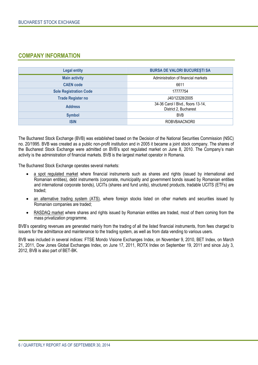### **COMPANY INFORMATION**

| <b>Legal entity</b>           | <b>BURSA DE VALORI BUCURESTI SA</b>                         |
|-------------------------------|-------------------------------------------------------------|
| <b>Main activity</b>          | Administration of financial markets                         |
| <b>CAEN</b> code              | 6611                                                        |
| <b>Sole Registration Code</b> | 17777754                                                    |
| <b>Trade Register no</b>      | J40/12328/2005                                              |
| <b>Address</b>                | 34-36 Carol I Blvd., floors 13-14,<br>District 2, Bucharest |
| <b>Symbol</b>                 | <b>BVB</b>                                                  |
| <b>ISIN</b>                   | ROBVBAACNOR0                                                |

The Bucharest Stock Exchange (BVB) was established based on the Decision of the National Securities Commission (NSC) no. 20/1995. BVB was created as a public non-profit institution and in 2005 it became a joint stock company. The shares of the Bucharest Stock Exchange were admitted on BVB's spot regulated market on June 8, 2010. The Company's main activity is the administration of financial markets. BVB is the largest market operator in Romania.

The Bucharest Stock Exchange operates several markets:

- a spot regulated market where financial instruments such as shares and rights (issued by international and Romanian entities), debt instruments (corporate, municipality and government bonds issued by Romanian entities and international corporate bonds), UCITs (shares and fund units), structured products, tradable UCITS (ETFs) are traded;
- an alternative trading system (ATS), where foreign stocks listed on other markets and securities issued by Romanian companies are traded;
- RASDAQ market where shares and rights issued by Romanian entities are traded, most of them coming from the mass privatization programme.

BVB's operating revenues are generated mainly from the trading of all the listed financial instruments, from fees charged to issuers for the admittance and maintenance to the trading system, as well as from data vending to various users.

BVB was included in several indices: FTSE Mondo Visione Exchanges Index, on November 9, 2010, BET Index, on March 21, 2011, Dow Jones Global Exchanges Index, on June 17, 2011, ROTX Index on September 19, 2011 and since July 3, 2012, BVB is also part of BET-BK.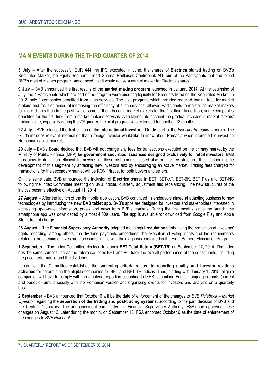#### **MAIN EVENTS DURING THE THIRD QUARTER OF 2014**

**3 July** – After the successful EUR 444 mn IPO executed in June, the shares of **Electrica** started trading on BVB's Regulated Market, the Equity Segment, Tier 1 Shares. Raiffeisen Centrobank AG, one of the Participants that had joined BVB's market makers program, announced that it would act as a market maker for Electrica shares.

**9 July** – BVB announced the first results of the **market making program** launched in January 2014. At the beginning of July, the 4 Participants which are part of the program were ensuring liquidity for 9 issuers listed on the Regulated Market. In 2013, only 2 companies benefited from such services. The pilot program, which included reduced trading fees for market makers and facilities aimed at increasing the efficiency of such services, allowed Participants to register as market makers for more shares than in the past, while some of them became market makers for the first time. In addition, some companies benefited for the first time from a market maker's services. Also taking into account the gradual increase in market makers' trading value, especially during the 2nd quarter, the pilot program was extended for another 12 months.

**22 July** – BVB released the first edition of the **International Investors' Guide**, part of the *InvestingRomania* program. The Guide includes relevant information that a foreign investor would like to know about Romania when interested to invest on Romanian capital markets.

**29 July** – BVB's Board decided that BVB will not charge any fees for transactions executed on the primary market by the Ministry of Public Finance (MFP) for **government securities issuances designed exclusively for retail investors**. BVB thus aims to define an efficient framework for these instruments, based also on the fee structure, thus supporting the development of this segment by attracting new investors and by encouraging an active market. Trading fees charged for transactions for the secondary market will be RON 1/trade, for both buyers and sellers.

On the same date, BVB announced the inclusion of **Electrica** shares in BET, BET-XT, BET-BK, BET Plus and BET-NG following the Index Committee meeting on BVB indices' quarterly adjustment and rebalancing. The new structures of the indices became effective on August 11, 2014.

**27 August** – After the launch of the its mobile application, BVB continued its endeavors aimed at adapting business to new technologies by introducing the **new BVB tablet app**. BVB's apps are designed for investors and stakeholders interested in accessing up-to-date information, prices and news from BVB's markets. During the first months since the launch, the smartphone app was downloaded by almost 4,000 users. The app is available for download from Google Play and Apple Store, free of charge.

**28 August** – The **Financial Supervisory Authority** adopted meaningful **regulations** enhancing the protection of investors' rights regarding, among others, the dividend payments procedures, the execution of voting rights and the requirements related to the opening of investment accounts, in line with the diagnosis contained in the Eight Barriers Elimination Program.

**1 September** – The Index Committee decided to launch **BET Total Return (BET-TR)** on September 22, 2014. The index has the same composition as the reference index BET and will track the overall performance of the constituents, including the price performance and the dividends.

In addition, the Committee established the **screening criteria related to reporting quality and investor relations activities** for determining the eligible companies for BET and BET-TR indices. Thus, starting with January 1, 2015, eligible companies will have to comply with three criteria: reporting according to IFRS, submitting English language reports (current and periodic) simultaneously with the Romanian version and organizing events for investors and analysts on a quarterly basis.

**2 September** – BVB announced that October 6 will be the date of enforcement of the changes to *BVB Rulebook – Market Operator* regarding the **separation of the trading and post-trading systems**, according to the joint decision of BVB and the Central Depository. The announcement came after the Financial Supervisory Authority (FSA) had approved these changes on August 12. Later during the month, on September 10, FSA endorsed October 6 as the date of enforcement of the changes to *BVB Rulebook*.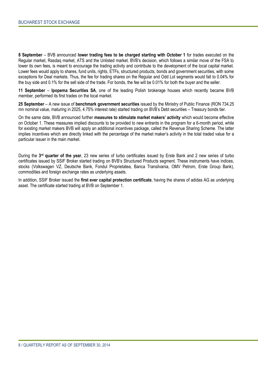**8 September** – BVB announced **lower trading fees to be charged starting with October 1** for trades executed on the Regular market, Rasdaq market, ATS and the Unlisted market. BVB's decision, which follows a similar move of the FSA to lower its own fees, is meant to encourage the trading activity and contribute to the development of the local capital market. Lower fees would apply to shares, fund units, rights, ETFs, structured products, bonds and government securities, with some exceptions for Deal markets. Thus, the fee for trading shares on the Regular and Odd Lot segments would fall to 0.04% for the buy side and 0.1% for the sell side of the trade. For bonds, the fee will be 0.01% for both the buyer and the seller.

**11 September** – **Ipopema Securities SA**, one of the leading Polish brokerage houses which recently became BVB member, performed its first trades on the local market.

**25 September** – A new issue of **benchmark government securities** issued by the Ministry of Public Finance (RON 734.25 mn nominal value, maturing in 2025, 4.75% interest rate) started trading on BVB's Debt securities – Treasury bonds tier.

On the same date, BVB announced further **measures to stimulate market makers' activity** which would become effective on October 1. These measures implied discounts to be provided to new entrants in the program for a 6-month period, while for existing market makers BVB will apply an additional incentives package, called the Revenue Sharing Scheme. The latter implies incentives which are directly linked with the percentage of the market maker's activity in the total traded value for a particular issuer in the main market.

During the 3<sup>rd</sup> quarter of the year, 23 new series of turbo certificates issued by Erste Bank and 2 new series of turbo certificates issued by SSIF Broker started trading on BVB's Structured Products segment. These instruments have indices, stocks (Volkswagen VZ, Deutsche Bank, Fondul Proprietatea, Banca Transilvania, OMV Petrom, Erste Group Bank), commodities and foreign exchange rates as underlying assets.

In addition, SSIF Broker issued the **first ever capital protection certificate**, having the shares of adidas AG as underlying asset. The certificate started trading at BVB on September 1.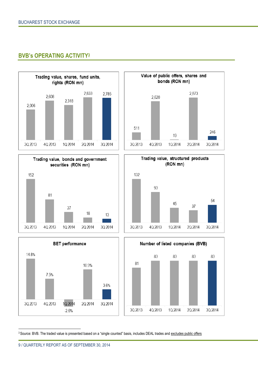### **BVB's OPERATING ACTIVITY<sup>3</sup>**













3 Source: BVB. The traded value is presented based on a "single counted" basis, includes DEAL trades and excludes public offers

 $\ddot{\phantom{a}}$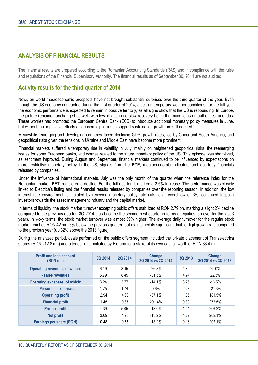#### **ANALYSIS OF FINANCIAL RESULTS**

The financial results are prepared according to the Romanian Accounting Standards (RAS) and in compliance with the rules and regulations of the Financial Supervisory Authority. The financial results as of September 30, 2014 are not audited.

### **Activity results for the third quarter of 2014**

News on world macroeconomic prospects have not brought substantial surprises over the third quarter of the year. Even though the US economy contracted during the first quarter of 2014, albeit on temporary weather conditions, for the full year the economic performance is expected to remain in positive territory, as all signs show that the US is rebounding. In Europe, the picture remained unchanged as well, with low inflation and slow recovery being the main items on authorities' agendas. These worries had prompted the European Central Bank (ECB) to introduce additional monetary policy measures in June, but without major positive effects as economic policies to support sustainable growth are still needed.

Meanwhile, emerging and developing countries faced declining GDP growth rates, led by China and South America, and geopolitical risks given the tensions in Ukraine and Middle East have become more prominent.

Financial markets suffered a temporary rise in volatility in July, mainly on heightened geopolitical risks, the reemerging issues for some European banks, and worries related to the future monetary policy of the US. This episode was short-lived, as sentiment improved. During August and September, financial markets continued to be influenced by expectations on more restrictive monetary policy in the US, signals from the BCE, macroeconomic indicators and quarterly financials released by companies.

Under the influence of international markets, July was the only month of the quarter when the reference index for the Romanian market, BET, registered a decline. For the full quarter, it marked a 3.6% increase. The performance was closely linked to Electrica's listing and the financial results released by companies over the reporting season. In addition, the low interest rate environment, stimulated by renewed monetary policy rate cuts to a record low of 3%, continued to push investors towards the asset management industry and the capital market.

In terms of liquidity, the stock market turnover excepting public offers stabilized at RON 2.79 bn, marking a slight 2% decline compared to the previous quarter. 3Q 2014 thus became the second best quarter in terms of equities turnover for the last 3 years. In y-o-y terms, the stock market turnover was almost 39% higher. The average daily turnover for the regular stock market reached RON 42 mn, 6% below the previous quarter, but maintained its significant double-digit growth rate compared to the previous year (up 32% above the 2013 figure).

During the analyzed period, deals performed on the public offers segment included the private placement of Transelectrica shares (RON 212.8 mn) and a tender offer initiated by Biofarm for a stake of its own capital, worth of RON 33.4 mn.

| <b>Profit and loss account</b><br>(RON mn) | 3Q 2014 | 2Q 2014 | Change<br>3Q 2014 vs 2Q 2014 | 3Q 2013 | Change<br>3Q 2014 vs 3Q 2013 |
|--------------------------------------------|---------|---------|------------------------------|---------|------------------------------|
| <b>Operating revenues, of which:</b>       | 6.19    | 8.45    | $-26.8%$                     | 4.80    | 29.0%                        |
| - sales revenues                           | 5.79    | 8.45    | $-31.5%$                     | 4.74    | 22.3%                        |
| <b>Operating expenses, of which:</b>       | 3.24    | 3.77    | $-14.1%$                     | 3.75    | $-13.5%$                     |
| - Personnel expenses                       | 1.75    | 1.74    | 0.6%                         | 2.23    | $-21.3%$                     |
| <b>Operating profit</b>                    | 2.94    | 4.68    | $-37.1%$                     | 1.05    | 181.5%                       |
| <b>Financial profit</b>                    | 1.45    | 0.37    | 291.4%                       | 0.39    | 272.5%                       |
| Pre-tax profit                             | 4.39    | 5.05    | $-13.0%$                     | 1.44    | 206.2%                       |
| <b>Net profit</b>                          | 3.69    | 4.25    | $-13.2%$                     | 1.22    | 202.1%                       |
| Earnings per share (RON)                   | 0.48    | 0.55    | $-13.2%$                     | 0.16    | 202.1%                       |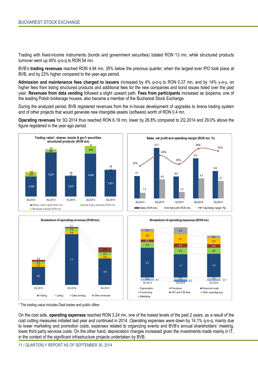Trading with fixed-income instruments (bonds and government securities) totaled RON 13 mn, while structured products turnover went up 45% q-o-q to RON 54 mn.

BVB's **trading revenues** reached RON 4.94 mn, 35% below the previous quarter, when the largest ever IPO took place at BVB, and by 23% higher compared to the year-ago period.

**Admission and maintenance fees charged to issuers** increased by 4% q-o-q to RON 0.37 mn, and by 14% y-o-y, on higher fees from listing structured products and additional fees for the new companies and bond issues listed over the past year. **Revenues from data vending** followed a slight upward path. **Fees from participants** increased as Ipopema, one of the leading Polish brokerage houses, also became a member of the Bucharest Stock Exchange.

During the analyzed period, BVB registered revenues from the in-house development of upgrades to Arena trading system and of other projects that would generate new intangible assets (software) worth of RON 0.4 mn.

**Operating revenues** for 3Q 2014 thus reached RON 6.19 mn, lower by 26.8% compared to 2Q 2014 and 29.0% above the figure registered in the year-ago period.









\* The trading value includes Deal trades and public offers

On the cost side, **operating expenses** reached RON 3.24 mn, one of the lowest levels of the past 2 years, as a result of the cost cutting measures initiated last year and continued in 2014. Operating expenses were down by 14.1% q-o-q, mainly due to lower marketing and promotion costs, expenses related to organizing events and BVB's annual shareholders' meeting, lower third party services costs. On the other hand, depreciation charges increased given the investments made mainly in IT, in the context of the significant infrastructure projects undertaken by BVB.

 $\begin{array}{c} \hline \end{array}$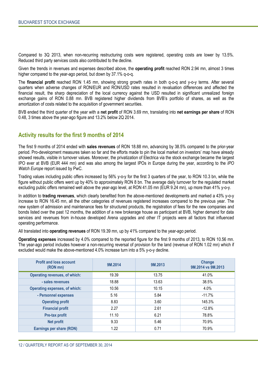Compared to 3Q 2013, when non-recurring restructuring costs were registered, operating costs are lower by 13.5%. Reduced third party services costs also contributed to the decline.

Given the trends in revenues and expenses described above, the **operating profit** reached RON 2.94 mn, almost 3 times higher compared to the year-ago period, but down by 37.1% q-o-q.

The **financial profit** reached RON 1.45 mn, showing strong growth rates in both q-o-q and y-o-y terms. After several quarters when adverse changes of RON/EUR and RON/USD rates resulted in revaluation differences and affected the financial result, the sharp depreciation of the local currency against the USD resulted in significant unrealized foreign exchange gains of RON 0.88 mn. BVB registered higher dividends from BVB's portfolio of shares, as well as the amortization of costs related to the acquisition of government securities.

BVB ended the third quarter of the year with a **net profit** of RON 3.69 mn, translating into **net earnings per share** of RON 0.48, 3 times above the year-ago figure and 13.2% below 2Q 2014.

### **Activity results for the first 9 months of 2014**

The first 9 months of 2014 ended with **sales revenues** of RON 18.88 mn, advancing by 38.5% compared to the prior-year period. Pro-development measures taken so far and the efforts made to pin the local market on investors' map have already showed results, visible in turnover values. Moreover, the privatization of Electrica via the stock exchange became the largest IPO ever at BVB (EUR 444 mn) and was also among the largest IPOs in Europe during the year, according to the *IPO Watch Europe* report issued by PwC.

Trading values including public offers increased by 56% y-o-y for the first 3 quarters of the year, to RON 10.3 bn, while the figure without public offers went up by 40% to approximately RON 8 bn. The average daily turnover for the regulated market excluding public offers remained well above the year-ago level, at RON 41.05 mn (EUR 9.24 mn), up more than 41% y-o-y.

In addition to **trading revenues**, which clearly benefited from the above-mentioned developments and marked a 43% y-o-y increase to RON 16.45 mn, all the other categories of revenues registered increases compared to the previous year. The new system of admission and maintenance fees for structured products, the registration of fees for the new companies and bonds listed over the past 12 months, the addition of a new brokerage house as participant at BVB, higher demand for data services and revenues from in-house developed Arena upgrades and other IT projects were all factors that influenced operating performance.

All translated into **operating revenues** of RON 19.39 mn, up by 41% compared to the year-ago period.

**Operating expenses** increased by 4.0% compared to the reported figure for the first 9 months of 2013, to RON 10.56 mn. The year-ago period includes however a non-recurring reversal of provision for the land (revenue of RON 1.02 mn) which if excluded would make the above-mentioned 4.0% increase turn into a 5% y-o-y decline.

| <b>Profit and loss account</b><br>(RON mn) | 9M.2014 | 9M.2013 | Change<br>9M.2014 vs 9M.2013 |
|--------------------------------------------|---------|---------|------------------------------|
| <b>Operating revenues, of which:</b>       | 19.39   | 13.75   | 41.0%                        |
| - sales revenues                           | 18.88   | 13.63   | 38.5%                        |
| <b>Operating expenses, of which:</b>       | 10.56   | 10.15   | 4.0%                         |
| - Personnel expenses                       | 5.16    | 5.84    | $-11.7%$                     |
| <b>Operating profit</b>                    | 8.83    | 3.60    | 145.3%                       |
| <b>Financial profit</b>                    | 2.27    | 2.61    | $-12.8%$                     |
| Pre-tax profit                             | 11.10   | 6.21    | 78.8%                        |
| <b>Net profit</b>                          | 9.33    | 5.46    | 70.9%                        |
| Earnings per share (RON)                   | 1.22    | 0.71    | 70.9%                        |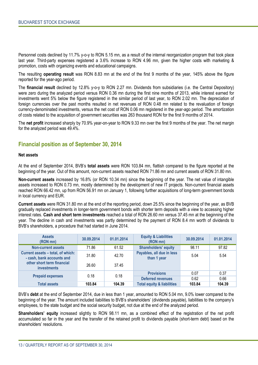Personnel costs declined by 11.7% y-o-y to RON 5.15 mn, as a result of the internal reorganization program that took place last year. Third-party expenses registered a 3.6% increase to RON 4.96 mn, given the higher costs with marketing & promotion, costs with organizing events and educational campaigns.

The resulting **operating result** was RON 8.83 mn at the end of the first 9 months of the year, 145% above the figure reported for the year-ago period.

The **financial result** declined by 12.8% y-o-y to RON 2.27 mn. Dividends from subsidiaries (i.e. the Central Depository) were zero during the analyzed period versus RON 0.36 mn during the first nine months of 2013, while interest earned for investments went 5% below the figure registered in the similar period of last year, to RON 2.02 mn. The depreciation of foreign currencies over the past months resulted in net revenues of RON 0.48 mn related to the revaluation of foreign currency-denominated investments, versus the net cost of RON 0.06 mn registered in the year-ago period. The amortization of costs related to the acquisition of government securities was 263 thousand RON for the first 9 months of 2014.

The **net profit** increased sharply by 70.9% year-on-year to RON 9.33 mn over the first 9 months of the year. The net margin for the analyzed period was 49.4%.

#### **Financial position as of September 30, 2014**

#### **Net assets**

At the end of September 2014, BVB's **total assets** were RON 103.84 mn, flattish compared to the figure reported at the beginning of the year. Out of this amount, non-current assets reached RON 71.86 mn and current assets of RON 31.80 mn.

**Non-current assets** increased by 16.8% (or RON 10.34 mn) since the beginning of the year. The net value of intangible assets increased to RON 0.73 mn, mostly determined by the development of new IT projects. Non-current financial assets reached RON 66.42 mn, up from RON 56.91 mn on January 1, following further acquisitions of long-term government bonds in local currency and EUR.

**Current assets** were RON 31.80 mn at the end of the reporting period, down 25.5% since the beginning of the year, as BVB gradually replaced investments in longer-term government bonds with shorter term deposits with a view to accessing higher interest rates. **Cash and short term investments** reached a total of RON 26.60 mn versus 37.45 mn at the beginning of the year. The decline in cash and investments was partly determined by the payment of RON 8.4 mn worth of dividends to BVB's shareholders, a procedure that had started in June 2014.

| <b>Assets</b><br>(RON mn)                                      | 30.09.2014 | 01.01.2014 | <b>Equity &amp; Liabilities</b><br>(RON mn) |        | 01.01.2014 |
|----------------------------------------------------------------|------------|------------|---------------------------------------------|--------|------------|
| <b>Non-current assets</b>                                      | 71.86      | 61.52      | <b>Shareholders' equity</b>                 | 98.11  | 97.82      |
| Current assets - total, of which:<br>- cash, bank accounts and | 31.80      | 42.70      | Payables, all due in less<br>than 1 year    | 5.04   | 5.54       |
| other short term financial<br><i>investments</i>               | 26.60      | 37.45      |                                             |        |            |
|                                                                | 0.18       | 0.18       | <b>Provisions</b>                           | 0.07   | 0.37       |
| <b>Prepaid expenses</b>                                        |            |            | <b>Deferred revenues</b>                    | 0.62   | 0.66       |
| <b>Total assets</b>                                            | 103.84     | 104.39     | <b>Total equity &amp; liabilities</b>       | 103.84 | 104.39     |

BVB's **debt** at the end of September 2014, due in less than 1 year, amounted to RON 5.04 mn, 9.0% lower compared to the beginning of the year. The amount included liabilities to BVB's shareholders' (dividends payable), liabilities to the company's employees, to the state budget and the social security budget, not due at the end of the analyzed period.

**Shareholders' equity** increased slightly to RON 98.11 mn, as a combined effect of the registration of the net profit accumulated so far in the year and the transfer of the retained profit to dividends payable (short-term debt) based on the shareholders' resolutions.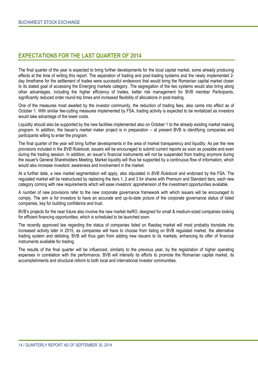### **EXPECTATIONS FOR THE LAST QUARTER OF 2014**

The final quarter of the year is expected to bring further developments for the local capital market, some already producing effects at the time of writing this report. The separation of trading and post-trading systems and the newly implemented 2 day timeframe for the settlement of trades were successful endeavors that would bring the Romanian capital market closer to its stated goal of accessing the Emerging markets category. The segregation of the two systems would also bring along other advantages, including the higher efficiency of trades, better risk management for BVB member Participants, significantly reduced order round-trip times and increased flexibility of allocations in post-trading.

One of the measures most awaited by the investor community, the reduction of trading fees, also came into effect as of October 1. With similar fee-cutting measures implemented by FSA, trading activity is expected to be revitalized as investors would take advantage of the lower costs.

Liquidity should also be supported by the new facilities implemented also on October 1 to the already existing market making program. In addition, the Issuer's market maker project is in preparation – at present BVB is identifying companies and participants willing to enter the program.

The final quarter of the year will bring further developments in the area of market transparency and liquidity. As per the new provisions included in the *BVB Rulebook*, issuers will be encouraged to submit current reports as soon as possible and even during the trading session. In addition, an issuer's financial instruments will not be suspended from trading anymore during the issuer's General Shareholders Meeting. Market liquidity will thus be supported by a continuous flow of information, which would also increase investors' awareness and involvement in the market.

At a further date, a new market segmentation will apply, also stipulated in *BVB Rulebook* and endorsed by the FSA. The regulated market will be restructured by replacing the tiers 1, 2 and 3 for shares with Premium and Standard tiers, each new category coming with new requirements which will ease investors' apprehension of the investment opportunities available.

A number of new provisions refer to the new corporate governance framework with which issuers will be encouraged to comply. The aim is for investors to have an accurate and up-to-date picture of the corporate governance status of listed companies, key for building confidence and trust.

BVB's projects for the near future also involve the new market AeRO, designed for small & medium-sized companies looking for efficient financing opportunities, which is scheduled to be launched soon.

The recently approved law regarding the status of companies listed on Rasdaq market will most probably translate into increased activity later in 2015, as companies will have to choose from listing on BVB regulated market, the alternative trading system and delisting. BVB will thus gain from adding new issuers to its markets, enhancing its offer of financial instruments available for trading.

The results of the final quarter will be influenced, similarly to the previous year, by the registration of higher operating expenses in correlation with the performance. BVB will intensify its efforts to promote the Romanian capital market, its accomplishments and structural reform to both local and international investor communities.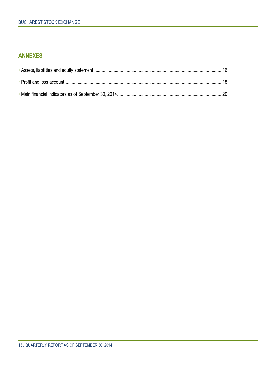### **ANNEXES**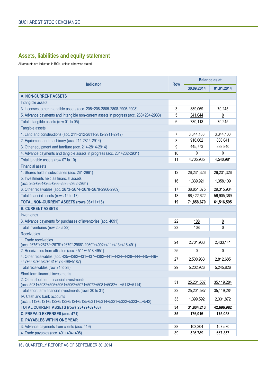## **Assets, liabilities and equity statement**

All amounts are indicated in RON, unless otherwise stated

| <b>Indicator</b>                                                                                               |            | <b>Balance as at</b> |                |  |
|----------------------------------------------------------------------------------------------------------------|------------|----------------------|----------------|--|
|                                                                                                                | <b>Row</b> | 30.09.2014           | 01.01.2014     |  |
| <b>A. NON-CURRENT ASSETS</b>                                                                                   |            |                      |                |  |
| Intangible assets                                                                                              |            |                      |                |  |
| 3. Licenses, other intangible assets (acc. 205+208-2805-2808-2905-2908)                                        | 3          | 389,069              | 70,245         |  |
| 5. Advance payments and intangible non-current assets in progress (acc. 233+234-2933)                          | 5          | 341,044              | $\overline{0}$ |  |
| Total intangible assets (row 01 to 05)                                                                         | 6          | 730,113              | 70,245         |  |
| Tangible assets                                                                                                |            |                      |                |  |
| 1. Land and constructions (acc. 211+212-2811-2812-2911-2912)                                                   | 7          | 3,344,100            | 3,344,100      |  |
| 2. Equipment and machinery (acc. 214-2814-2914)                                                                | 8          | 916,062              | 808,041        |  |
| 3. Other equipment and furniture (acc. 214-2814-2914)                                                          | 9          | 445,773              | 388,840        |  |
| 4. Advance payments and tangible assets in progress (acc. 231+232-2931)                                        | 10         | $\overline{0}$       | $\overline{0}$ |  |
| Total tangible assets (row 07 la 10)                                                                           | 11         | 4,705,935            | 4,540,981      |  |
| <b>Financial assets</b>                                                                                        |            |                      |                |  |
| 1. Shares held in subsidiaries (acc. 261-2961)                                                                 | 12         | 26,231,326           | 26,231,326     |  |
| 5. Investments held as financial assets<br>(acc. 262+264+265+266-2696-2962-2964)                               | 16         | 1,339,921            | 1,358,109      |  |
| 6. Other receivables (acc. 2673+2674+2678+2679-2966-2969)                                                      | 17         | 38,851,375           | 29,315,934     |  |
| Total financial assets (rows 12 to 17)                                                                         | 18         | 66,422,622           | 56,905,369     |  |
| <b>TOTAL NON-CURRENT ASSETS (rows 06+11+18)</b>                                                                | 19         | 71,858,670           | 61,516,595     |  |
| <b>B. CURRENT ASSETS</b>                                                                                       |            |                      |                |  |
| Inventories                                                                                                    |            |                      |                |  |
| 3. Advance payments for purchases of inventories (acc. 4091)                                                   | 22         | <u>108</u>           | $\overline{0}$ |  |
| Total inventories (row 20 la 22)                                                                               | 23         | 108                  | 0              |  |
| <b>Receivables</b>                                                                                             |            |                      |                |  |
| 1. Trade receivables<br>(acc. 2675*+2676*+2678*+2679*-2966*-2969*+4092+411+413+418-491)                        | 24         | 2,701,963            | 2,433,141      |  |
| 2. Receivables from affiliates (acc. 4511+4518-4951)                                                           | 25         | 0                    | 0              |  |
| 4. Other receivables (acc. 425+4282+431+437+4382+441+4424+4428+444+445+446+<br>447+4482+4582+461+473-496+5187) | 27         | 2,500,963            | 2,812,685      |  |
| Total receivables (row 24 to 28)                                                                               | 29         | 5,202,926            | 5,245,826      |  |
| Short term financial investments                                                                               |            |                      |                |  |
| 2. Other short term financial investments<br>(acc. 5031+5032+505+5061+5062+5071+5072+5081+5082++5113+5114)     | 31         | 25,201,587           | 35,119,284     |  |
| Total short term financial investments (rows 30 to 31)                                                         | 32         | 25,201,587           | 35,119,284     |  |
| IV. Cash and bank accounts<br>(acc. 5112+5121+5122+5123+5124+5125+5311+5314+5321+5322+5323++542)               | 33         | 1,399,592            | 2,331,872      |  |
| TOTAL CURRENT ASSETS (rows 23+29+32+33)                                                                        | 34         | 31,804,213           | 42,696,982     |  |
| C. PREPAID EXPENSES (acc. 471)                                                                                 | 35         | 176,016              | 175,058        |  |
| <b>D. PAYABLES WITHIN ONE YEAR</b>                                                                             |            |                      |                |  |
| 3. Advance payments from clients (acc. 419)                                                                    | 38         | 103,304              | 107,570        |  |
| 4. Trade payables (acc. 401+404+408)                                                                           | 39         | 526,789              | 667,357        |  |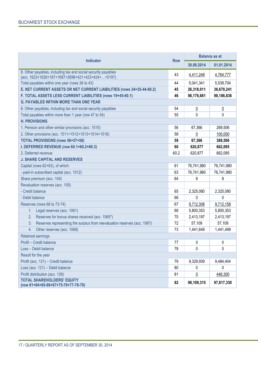|                                                                                                                   |            | <b>Balance as at</b> |                |  |
|-------------------------------------------------------------------------------------------------------------------|------------|----------------------|----------------|--|
| <b>Indicator</b>                                                                                                  | <b>Row</b> | 30.09.2014           | 01.01.2014     |  |
| 8. Other payables, including tax and social security payables<br>(acc. 1623+1626+167+1687+2698+421+423+424++5197) | 43         | 4,411,248            | 4,764,777      |  |
| Total payables within one year (rows 36 to 43)                                                                    | 44         | 5,041,341            | 5,539,704      |  |
| E. NET CURRENT ASSETS OR NET CURRENT LIABILITIES (rows 34+35-44-60.2)                                             | 45         | 26,318,011           | 36,670,241     |  |
| F. TOTAL ASSETS LESS CURRENT LIABILITIES (rows 19+45-60.1)                                                        | 46         | 98,176,681           | 98,186,836     |  |
| <b>G. PAYABLES WITHIN MORE THAN ONE YEAR</b>                                                                      |            |                      |                |  |
| 8. Other payables, including tax and social security payables                                                     | 54         | $\overline{0}$       | $\overline{0}$ |  |
| Total payables within more than 1 year (row 47 to 54)                                                             | 55         | 0                    | 0              |  |
| <b>H. PROVISIONS</b>                                                                                              |            |                      |                |  |
| 1. Pension and other similar provisions (acc. 1515)                                                               | 56         | 67,366               | 269,506        |  |
| 2. Other provisions (acc. 1511+1512+1513+1514+1518)                                                               | 58         | 0                    | 100,000        |  |
| <b>TOTAL PROVISIONS (rows 56+57+58)</b>                                                                           | 59         | 67,366               | 369,506        |  |
| I. DEFERRED REVENUE (row 60.1+60.2+60.3)                                                                          | 60         | 620,877              | 662,095        |  |
| 2. Deferred revenue                                                                                               | 60.2       | 620,877              | 662,095        |  |
| <b>J. SHARE CAPITAL AND RESERVES</b>                                                                              |            |                      |                |  |
| Capital (rows 62+63), of which:                                                                                   | 61         | 76,741,980           | 76,741,980     |  |
| - paid-in subscribed capital (acc. 1012)                                                                          | 63         | 76,741,980           | 76,741,980     |  |
| Share premium (acc. 104)                                                                                          | 64         | 8                    | 8              |  |
| Revaluation reserves (acc. 105)                                                                                   |            |                      |                |  |
| - Credit balance                                                                                                  | 65         | 2,325,080            | 2,325,080      |  |
| - Debit balance                                                                                                   | 66         | 0                    | 0              |  |
| Reserves (rows 68 to 73-74)                                                                                       | 67         | 9,712,308            | 9,712,158      |  |
| Legal reserves (acc. 1061)<br>1.                                                                                  | 68         | 5,800,353            | 5,800,353      |  |
| Reserves for bonus shares received (acc. 1065*)<br>2.                                                             | 70         | 2,413,197            | 2,413,197      |  |
| Reserves representing the surplus from reevaluation reserves (acc. 1067)<br>3.                                    | 72         | 57,109               | 57,109         |  |
| Other reserves (acc. 1068)<br>4.                                                                                  | 73         | 1,441,649            | 1,441,499      |  |
| <b>Retained earnings</b>                                                                                          |            |                      |                |  |
| Profit - Credit balance                                                                                           | 77         | 0                    | 0              |  |
| Loss - Debit balance                                                                                              | 78         | 0                    | $\mathbf 0$    |  |
| Result for the year                                                                                               |            |                      |                |  |
| Profit (acc. 121) - Credit balance                                                                                | 79         | 9,329,939            | 9,484,404      |  |
| Loss (acc. 121) - Debit balance                                                                                   | 80         | 0                    | 0              |  |
| Profit distribution (acc. 129)                                                                                    | 81         | $\underline{0}$      | 446,300        |  |
| <b>TOTAL SHAREHOLDERS' EQUITY</b><br>(row 61+64+65-66+67+75-76+77-78-79)                                          | 82         | 98,109,315           | 97,817,330     |  |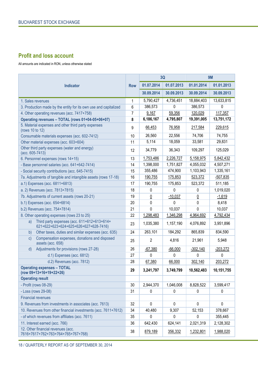### **Profit and loss account**

All amounts are indicated in RON, unless otherwise stated

| <b>Indicator</b>                                                                           |              | 3Q           |            | <b>9M</b>  |             |
|--------------------------------------------------------------------------------------------|--------------|--------------|------------|------------|-------------|
|                                                                                            |              | 01.07.2014   | 01.07.2013 | 01.01.2014 | 01.01.2013  |
|                                                                                            |              | 30.09.2014   | 30.09.2013 | 30.09.2014 | 30.09.2013  |
| 1. Sales revenues                                                                          | $\mathbf{1}$ | 5,790,427    | 4,736,451  | 18,884,403 | 13,633,815  |
| 3. Production made by the entity for its own use and capitalized                           | 6            | 386,573      | 0          | 386,573    | 0           |
| 4. Other operating revenues (acc. 7417+758)                                                | 7            | 9,167        | 59,356     | 120,029    | 117,357     |
| Operating revenues - TOTAL (rows 01+04-05+06+07)                                           | 8            | 6,186,167    | 4,795,807  | 19,391,005 | 13,751,172  |
| 5. Material expenses and other third party expenses<br>(rows 10 to 12)                     | 9            | 66,453       | 76,958     | 217,584    | 229,615     |
| Consumable materials expenses (acc. 602-7412)                                              | 10           | 26,560       | 22,556     | 74,706     | 74,755      |
| Other material expenses (acc. 603+604)                                                     | 11           | 5,114        | 18,059     | 33,581     | 29,831      |
| Other third party expenses (water and energy)<br>(acc. 605-7413)                           | 12           | 34,779       | 36,343     | 109,297    | 125,029     |
| 6. Personnel expenses (rows 14+15)                                                         | 13           | 1,753,486    | 2,226,727  | 5,158,975  | 5,842,432   |
| - Base personnel salaries (acc. 641+642-7414)                                              | 14           | 1,398,000    | 1,751,827  | 4,055,032  | 4,507,271   |
| - Social security contributions (acc. 645-7415)                                            | 15           | 355,486      | 474,900    | 1,103,943  | 1,335,161   |
| 7a. Adjustments of tangible and intangible assets (rows 17-18)                             | 16           | 190,755      | 175,853    | 523,372    | $-507,835$  |
| a.1) Expenses (acc. 6811+6813)                                                             | 17           | 190,755      | 175,853    | 523,372    | 511,185     |
| a. 2) Revenues (acc. 7813+7815)                                                            | 18           | 0            | 0          | 0          | 1,019,020   |
| 7b. Adjustments of current assets (rows 20-21)                                             | 19           | 0            | $-10,037$  | <u>0</u>   | $-1,619$    |
| b.1) Expenses (acc. 654+6814)                                                              | 20           | $\mathbf 0$  | 0          | 0          | 8,418       |
| b.2) Revenues (acc. 754+7814)                                                              | 21           | 0            | 10,037     | 0          | 10,037      |
| 8. Other operating expenses (rows 23 to 25)                                                | 22           | 1,298,483    | 1,346,298  | 4,964,692  | 4,792,434   |
| Third party expenses (acc. 611+612+613+614+<br>a)<br>621+622+623+624+625+626+627+628-7416) | 23           | 1,035,380    | 1,157,190  | 4,076,892  | 3,951,896   |
| Other taxes, duties and similar expenses (acc. 635)<br>b)                                  | 24           | 263,101      | 184,292    | 865,839    | 834,590     |
| Compensation expenses, donations and disposed<br>c)<br>assets (acc. 658)                   | 25           | 2            | 4,816      | 21,961     | 5,948       |
| Adjustments for provisions (rows 27-28)<br>d)                                              | 26           | $-67,380$    | $-66,000$  | $-302,140$ | $-203,272$  |
| d.1) Expenses (acc. 6812)                                                                  | 27           | $\theta$     | 0          | 0          | 0           |
| d.2) Revenues (acc. 7812)                                                                  | 28           | 67,380       | 66,000     | 302,140    | 203,272     |
| <b>Operating expenses - TOTAL</b><br>(row 09+13+16+19+22+26)                               | 29           | 3,241,797    | 3,749,799  | 10,562,483 | 10,151,755  |
| <b>Operating result</b>                                                                    |              |              |            |            |             |
| - Profit (rows 08-29)                                                                      | 30           | 2,944,370    | 1,046,008  | 8,828,522  | 3,599,417   |
| - Loss (rows 29-08)                                                                        | 31           | 0            | 0          | 0          | 0           |
| <b>Financial revenues</b>                                                                  |              |              |            |            |             |
| 9. Revenues from investments in associates (acc. 7613)                                     | 32           | $\mathbf 0$  | 0          | 0          | $\mathbf 0$ |
| 10. Revenues from other financial investments (acc. 7611+7612)                             | 34           | 40,480       | 9,307      | 52,153     | 378,667     |
| - of which revenues from affiliates (acc. 7611)                                            | 35           | $\mathbf{0}$ | 0          | 0          | 355,445     |
| 11. Interest earned (acc. 766)                                                             | 36           | 642,430      | 624,141    | 2,021,319  | 2,128,302   |
| 12. Other financial revenues (acc.<br>7616+7617+762+763+764+765+767+768)                   | 38           | 879,189      | 356,332    | 1,232,801  | 1,988,020   |

18 / QUARTERLY REPORT AS OF SEPTEMBER 30, 2014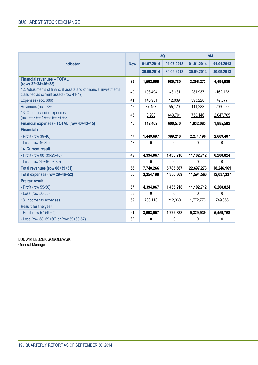|                                                                                                              |            | <b>3Q</b>  |            | <b>9M</b>  |              |
|--------------------------------------------------------------------------------------------------------------|------------|------------|------------|------------|--------------|
| <b>Indicator</b>                                                                                             | <b>Row</b> | 01.07.2014 | 01.07.2013 | 01.01.2014 | 01.01.2013   |
|                                                                                                              |            | 30.09.2014 | 30.09.2013 | 30.09.2014 | 30.09.2013   |
| <b>Financial revenues - TOTAL</b><br>(rows 32+34+36+38)                                                      | 39         | 1,562,099  | 989,780    | 3,306,273  | 4,494,989    |
| 12. Adjustments of financial assets and of financial investments<br>classified as current assets (row 41-42) | 40         | 108,494    | $-43,131$  | 281,937    | $-162, 123$  |
| Expenses (acc. 686)                                                                                          | 41         | 145,951    | 12,039     | 393,220    | 47,377       |
| Revenues (acc. 786)                                                                                          | 42         | 37,457     | 55,170     | 111,283    | 209,500      |
| 13. Other financial expenses<br>(acc. 663+664+665+667+668)                                                   | 45         | 3,908      | 643,701    | 750,146    | 2,047,705    |
| Financial expenses - TOTAL (row 40+43+45)                                                                    | 46         | 112,402    | 600,570    | 1,032,083  | 1,885,582    |
| <b>Financial result</b>                                                                                      |            |            |            |            |              |
| - Profit (row 39-46)                                                                                         | 47         | 1,449,697  | 389,210    | 2,274,190  | 2,609,407    |
| - Loss (row 46-39)                                                                                           | 48         | 0          | 0          | 0          | $\mathbf{0}$ |
| <b>14. Current result</b>                                                                                    |            |            |            |            |              |
| - Profit (row 08+39-29-46)                                                                                   | 49         | 4,394,067  | 1,435,218  | 11,102,712 | 6,208,824    |
| - Loss (row 29+46-08-39)                                                                                     | 50         | 0          | 0          | 0          | $\mathbf 0$  |
| Total revenues (row 08+39+51)                                                                                | 55         | 7,748,266  | 5,785,587  | 22,697,278 | 18,246,161   |
| Total expenses (row 29+46+52)                                                                                | 56         | 3,354,199  | 4,350,369  | 11,594,566 | 12,037,337   |
| <b>Pre-tax result</b>                                                                                        |            |            |            |            |              |
| - Profit (row 55-56)                                                                                         | 57         | 4,394,067  | 1,435,218  | 11,102,712 | 6,208,824    |
| - Loss (row 56-55)                                                                                           | 58         | 0          | $\Omega$   | $\Omega$   | 0            |
| 18. Income tax expenses                                                                                      | 59         | 700,110    | 212,330    | 1,772,773  | 749,056      |
| <b>Result for the year</b>                                                                                   |            |            |            |            |              |
| - Profit (row 57-59-60)                                                                                      | 61         | 3,693,957  | 1,222,888  | 9,329,939  | 5,459,768    |
| - Loss (row 58+59+60) or (row 59+60-57)                                                                      | 62         | 0          | 0          | 0          | 0            |

LUDWIK LESZEK SOBOLEWSKI General Manager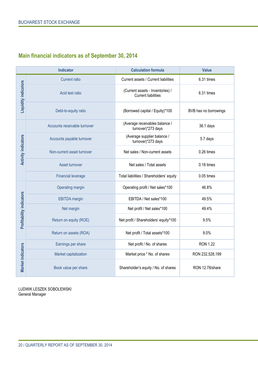## **Main financial indicators as of September 30, 2014**

|                                 | <b>Indicator</b>                                                      | <b>Calculation formula</b>                                     | <b>Value</b>          |
|---------------------------------|-----------------------------------------------------------------------|----------------------------------------------------------------|-----------------------|
|                                 | <b>Current ratio</b>                                                  | Current assets / Current liabilities                           | 6.31 times            |
| <b>Liquidity indicators</b>     | Acid test ratio                                                       | (Current assets - Inventories) /<br><b>Current liabilities</b> | 6.31 times            |
|                                 | Debt-to-equity ratio                                                  | (Borrowed capital / Equity)*100                                | BVB has no borrowings |
|                                 | Accounts receivable turnover                                          | (Average receivables balance /<br>turnover)*273 days           | 36.1 days             |
|                                 | Accounts payable turnover                                             | (Average supplier balance /<br>turnover)*273 days              | 5.7 days              |
| <b>Activity indicators</b>      | Non-current asset turnover                                            | Net sales / Non-current assets                                 | 0.26 times            |
|                                 | Asset turnover                                                        | Net sales / Total assets                                       |                       |
|                                 | <b>Financial leverage</b><br>Total liabilities / Shareholders' equity |                                                                | 0.05 times            |
|                                 | Operating margin                                                      | Operating profit / Net sales*100                               | 46.8%                 |
|                                 | <b>EBITDA</b> margin                                                  | EBITDA / Net sales*100                                         | 49.5%                 |
|                                 | Net margin                                                            | Net profit / Net sales*100                                     | 49.4%                 |
| <b>Profitability indicators</b> | Return on equity (ROE)                                                | Net profit / Shareholders' equity*100                          | 9.5%                  |
|                                 | Return on assets (ROA)                                                | Net profit / Total assets*100                                  | 9.0%                  |
|                                 | Earnings per share                                                    | Net profit / No. of shares                                     | <b>RON 1.22</b>       |
|                                 | Market capitalization                                                 | Market price * No. of shares                                   | RON 232,528,199       |
| <b>Market indicators</b>        | Book value per share                                                  | Shareholder's equity / No. of shares                           | RON 12.78/share       |

LUDWIK LESZEK SOBOLEWSKI General Manager